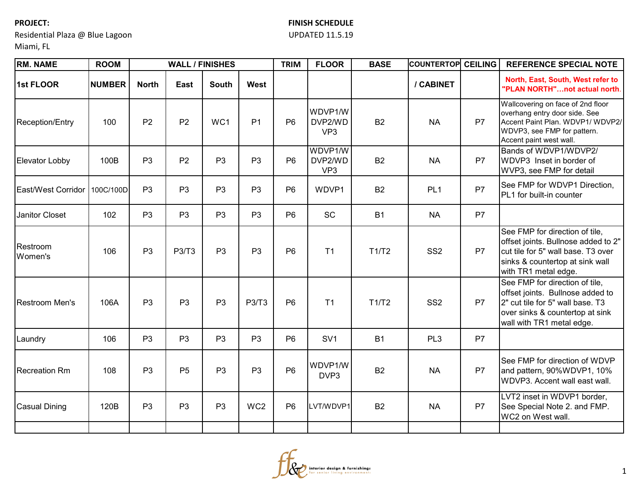**PROJECT:**

## **FINISH SCHEDULE**

## UPDATED 11.5.19

Miami, FL

Residential Plaza @ Blue Lagoon

| <b>RM. NAME</b>        | <b>ROOM</b>   |                | <b>WALL / FINISHES</b> |                |                 | <b>TRIM</b>    | <b>FLOOR</b>                          | <b>BASE</b> | <b>COUNTERTOP</b> | <b>CEILING</b> | <b>REFERENCE SPECIAL NOTE</b>                                                                                                                                          |
|------------------------|---------------|----------------|------------------------|----------------|-----------------|----------------|---------------------------------------|-------------|-------------------|----------------|------------------------------------------------------------------------------------------------------------------------------------------------------------------------|
| 1st FLOOR              | <b>NUMBER</b> | <b>North</b>   | East                   | <b>South</b>   | West            |                |                                       |             | / CABINET         |                | North, East, South, West refer to<br>"PLAN NORTH"not actual north.                                                                                                     |
| <b>Reception/Entry</b> | 100           | P <sub>2</sub> | P <sub>2</sub>         | WC1            | P <sub>1</sub>  | P <sub>6</sub> | WDVP1/W<br>DVP2/WD<br>VP <sub>3</sub> | <b>B2</b>   | <b>NA</b>         | P7             | Wallcovering on face of 2nd floor<br>overhang entry door side. See<br>Accent Paint Plan. WDVP1/ WDVP2/<br>WDVP3, see FMP for pattern.<br>Accent paint west wall.       |
| <b>Elevator Lobby</b>  | 100B          | P <sub>3</sub> | P <sub>2</sub>         | P <sub>3</sub> | P <sub>3</sub>  | P <sub>6</sub> | WDVP1/W<br>DVP2/WD<br>VP <sub>3</sub> | <b>B2</b>   | <b>NA</b>         | P7             | Bands of WDVP1/WDVP2/<br>WDVP3 Inset in border of<br>WVP3, see FMP for detail                                                                                          |
| East/West Corridor     | 100C/100D     | P <sub>3</sub> | P <sub>3</sub>         | P <sub>3</sub> | P <sub>3</sub>  | P <sub>6</sub> | WDVP1                                 | <b>B2</b>   | PL <sub>1</sub>   | P7             | See FMP for WDVP1 Direction,<br>PL1 for built-in counter                                                                                                               |
| Janitor Closet         | 102           | P <sub>3</sub> | P <sub>3</sub>         | P <sub>3</sub> | P <sub>3</sub>  | P <sub>6</sub> | SC                                    | <b>B1</b>   | <b>NA</b>         | P7             |                                                                                                                                                                        |
| Restroom<br>Women's    | 106           | P <sub>3</sub> | <b>P3/T3</b>           | P <sub>3</sub> | P <sub>3</sub>  | P <sub>6</sub> | T <sub>1</sub>                        | T1/T2       | SS <sub>2</sub>   | P <sub>7</sub> | See FMP for direction of tile,<br>offset joints. Bullnose added to 2"<br>cut tile for 5" wall base. T3 over<br>sinks & countertop at sink wall<br>with TR1 metal edge. |
| <b>Restroom Men's</b>  | 106A          | P <sub>3</sub> | P <sub>3</sub>         | P <sub>3</sub> | <b>P3/T3</b>    | P <sub>6</sub> | T <sub>1</sub>                        | T1/T2       | SS <sub>2</sub>   | P <sub>7</sub> | See FMP for direction of tile,<br>offset joints. Bullnose added to<br>2" cut tile for 5" wall base. T3<br>over sinks & countertop at sink<br>wall with TR1 metal edge. |
| Laundry                | 106           | P <sub>3</sub> | P <sub>3</sub>         | P <sub>3</sub> | P <sub>3</sub>  | P <sub>6</sub> | SV <sub>1</sub>                       | <b>B1</b>   | PL <sub>3</sub>   | <b>P7</b>      |                                                                                                                                                                        |
| <b>Recreation Rm</b>   | 108           | P <sub>3</sub> | P <sub>5</sub>         | P <sub>3</sub> | P <sub>3</sub>  | P <sub>6</sub> | WDVP1/W<br>DVP3                       | <b>B2</b>   | <b>NA</b>         | P7             | See FMP for direction of WDVP<br>and pattern, 90%WDVP1, 10%<br>WDVP3. Accent wall east wall.                                                                           |
| <b>Casual Dining</b>   | 120B          | P <sub>3</sub> | P <sub>3</sub>         | P <sub>3</sub> | WC <sub>2</sub> | P <sub>6</sub> | LVT/WDVP1                             | <b>B2</b>   | <b>NA</b>         | P7             | LVT2 inset in WDVP1 border,<br>See Special Note 2. and FMP.<br>WC2 on West wall.                                                                                       |
|                        |               |                |                        |                |                 |                |                                       |             |                   |                |                                                                                                                                                                        |